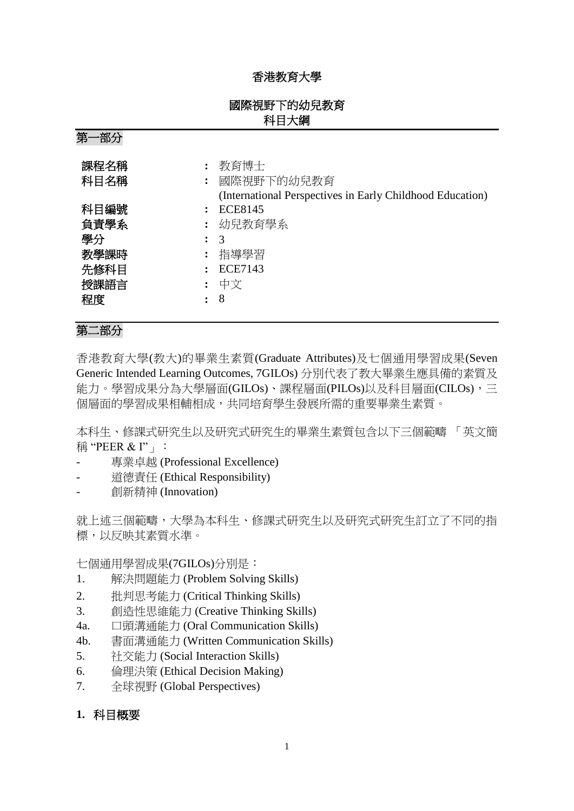## 香港教育大學

## 國際視野下的幼兒教育 科目大綱

| ⊿J<br>ᄖᅛ                                         |                                                                                  |
|--------------------------------------------------|----------------------------------------------------------------------------------|
| 課程名稱<br>科目名稱                                     | 教育博士<br>國際視野下的幼兒教育<br>(International Perspectives in Early Childhood Education)  |
| 科目編號<br>負責學系<br>學分<br>教學課時<br>先修科目<br>授課語言<br>程度 | <b>ECE8145</b><br>: 幼兒教育學系<br>$\mathcal{R}$<br>指導學習<br><b>ECE7143</b><br>中文<br>8 |

## 第二部分

第一部分

香港教育大學(教大)的畢業生素質(Graduate Attributes)及七個通用學習成果(Seven Generic Intended Learning Outcomes, 7GILOs) 分別代表了教大畢業生應具備的素質及 能力。學習成果分為大學層面(GILOs)、課程層面(PILOs)以及科目層面(CILOs),三 個層面的學習成果相輔相成,共同培育學生發展所需的重要畢業生素質。

本科生、修課式研究生以及研究式研究生的畢業生素質包含以下三個範疇 「英文簡 稱 "PEER & I"」:

- 專業卓越 (Professional Excellence)
- 道德責任 (Ethical Responsibility)
- 創新精神 (Innovation)

就上述三個範疇,大學為本科生、修課式研究生以及研究式研究生訂立了不同的指 標,以反映其素質水準。

七個通用學習成果(7GILOs)分別是:

- 1. 解決問題能力 (Problem Solving Skills)
- 2. 批判思考能力 (Critical Thinking Skills)
- 3. 創造性思維能力 (Creative Thinking Skills)
- 4a. 口頭溝通能力 (Oral Communication Skills)
- 4b. 書面溝通能力 (Written Communication Skills)
- 5. 社交能力 (Social Interaction Skills)
- 6. 倫理決策 (Ethical Decision Making)
- 7. 全球視野 (Global Perspectives)
- **1.** 科目概要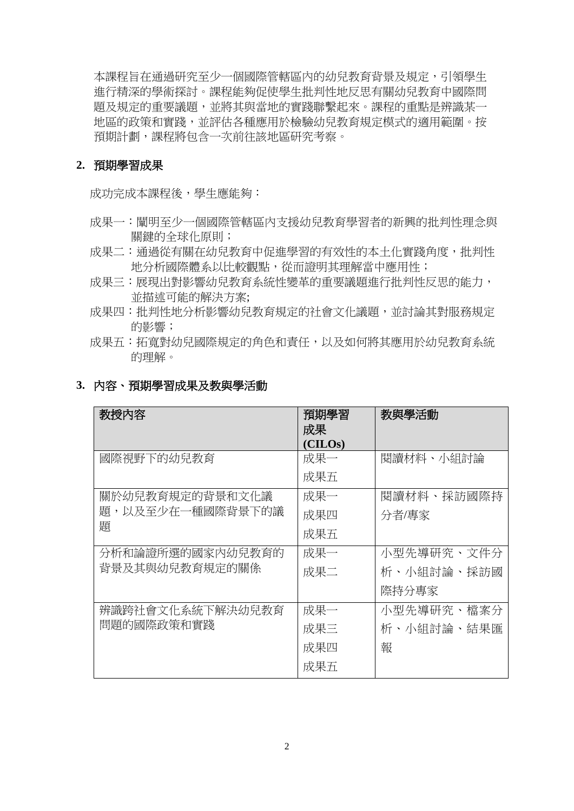本課程旨在通過研究至少一個國際管轄區內的幼兒教育背景及規定,引領學生 進行精深的學術探討。課程能夠促使學生批判性地反思有關幼兒教育中國際問 題及規定的重要議題,並將其與當地的實踐聯繫起來。課程的重點是辨識某一 地區的政策和實踐,並評估各種應用於檢驗幼兒教育規定模式的適用範圍。按 預期計劃,課程將包含一次前往該地區研究考察。

#### **2.** 預期學習成果

成功完成本課程後,學生應能夠:

- 成果一:闡明至少一個國際管轄區內支援幼兒教育學習者的新興的批判性理念與 關鍵的全球化原則;
- 成果二:通過從有關在幼兒教育中促進學習的有效性的本土化實踐角度,批判性 地分析國際體系以比較觀點,從而證明其理解當中應用性;
- 成果三:展現出對影響幼兒教育系統性變革的重要議題進行批判性反思的能力, 並描述可能的解決方案;
- 成果四:批判性地分析影響幼兒教育規定的社會文化議題,並討論其對服務規定 的影響;
- 成果五:拓寬對幼兒國際規定的角色和責任,以及如何將其應用於幼兒教育系統 的理解。

| 教授内容             | 預期學習<br>成果<br>(CHLOS) | 教與學活動      |
|------------------|-----------------------|------------|
| 國際視野下的幼兒教育       | 成果一                   | 閲讀材料、小組討論  |
|                  | 成果五                   |            |
| 關於幼兒教育規定的背景和文化議  | 成果一                   | 閱讀材料、採訪國際持 |
| 題,以及至少在一種國際背景下的議 | 成果四                   | 分者/專家      |
| 顥                | 成果五                   |            |
| 分析和論證所選的國家內幼兒教育的 | 成果一                   | 小型先導研究、文件分 |
| 背景及其與幼兒教育規定的關係   | 成果二                   | 析、小組討論、採訪國 |
|                  |                       | 際持分專家      |
| 辨識跨社會文化系統下解決幼兒教育 | 成果一                   | 小型先導研究、檔案分 |
| 問題的國際政策和實踐       | 成果三                   | 析、小組討論、結果匯 |
|                  | 成果四                   | 報          |
|                  | 成果五                   |            |

#### **3.** 內容、預期學習成果及教與學活動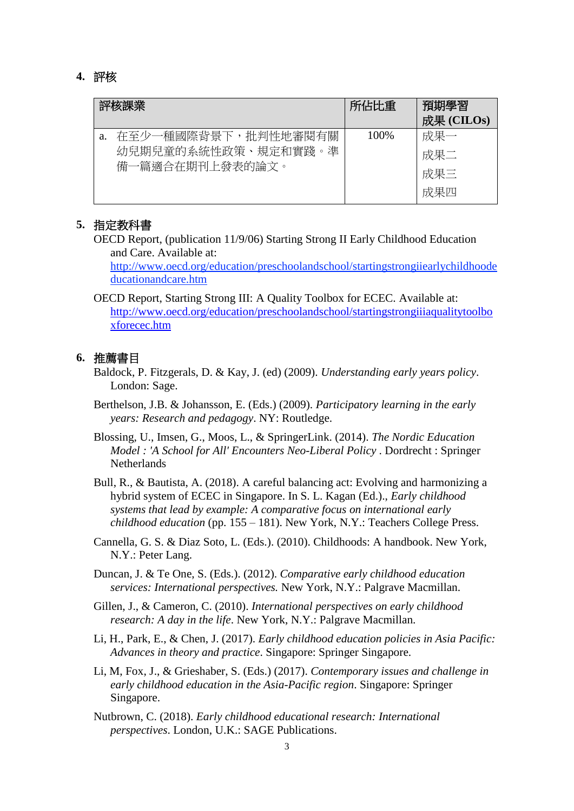### **4.** 評核

| 評核課業 |                                                               | 所佔比重  | 預期學習<br>成果 (CILOs)       |
|------|---------------------------------------------------------------|-------|--------------------------|
| a.   | 在至少一種國際背景下,批判性地審閱有關<br>幼兒期兒童的系統性政策、規定和實踐。準<br>備一篇適合在期刊上發表的論文。 | 100\% | 成果一<br>成果二<br>成果三<br>成果四 |

### **5.** 指定教科書

OECD Report, (publication 11/9/06) Starting Strong II Early Childhood Education and Care. Available at:

http://www.oecd.org/education/preschoolandschool/startingstrongiiearlychildhoode ducationandcare.htm

OECD Report, Starting Strong III: A Quality Toolbox for ECEC. Available at: [http://www.oecd.org/education/preschoolandschool/startingstrongiiiaqualitytoolbo](http://www.oecd.org/education/preschoolandschool/startingstrongiiiaqualitytoolboxforecec.htm) [xforecec.htm](http://www.oecd.org/education/preschoolandschool/startingstrongiiiaqualitytoolboxforecec.htm)

#### **6.** 推薦書目

- Baldock, P. Fitzgerals, D. & Kay, J. (ed) (2009). *Understanding early years policy*. London: Sage.
- Berthelson, J.B. & Johansson, E. (Eds.) (2009). *Participatory learning in the early years: Research and pedagogy*. NY: Routledge.

Blossing, U., Imsen, G., Moos, L., & SpringerLink. (2014). *The Nordic Education Model : 'A School for All' Encounters Neo-Liberal Policy* . Dordrecht : Springer **Netherlands** 

- Bull, R., & Bautista, A. (2018). A careful balancing act: Evolving and harmonizing a hybrid system of ECEC in Singapore. In S. L. Kagan (Ed.)., *Early childhood systems that lead by example: A comparative focus on international early childhood education* (pp. 155 – 181). New York, N.Y.: Teachers College Press.
- Cannella, G. S. & Diaz Soto, L. (Eds.). (2010). Childhoods: A handbook. New York, N.Y.: Peter Lang.

Duncan, J. & Te One, S. (Eds.). (2012). *Comparative early childhood education services: International perspectives.* New York, N.Y.: Palgrave Macmillan.

Gillen, J., & Cameron, C. (2010). *International perspectives on early childhood research: A day in the life*. New York, N.Y.: Palgrave Macmillan.

- Li, H., Park, E., & Chen, J. (2017). *Early childhood education policies in Asia Pacific: Advances in theory and practice*. Singapore: Springer Singapore.
- Li, M, Fox, J., & Grieshaber, S. (Eds.) (2017). *Contemporary issues and challenge in early childhood education in the Asia-Pacific region*. Singapore: Springer Singapore.

Nutbrown, C. (2018). *Early childhood educational research: International perspectives*. London, U.K.: SAGE Publications.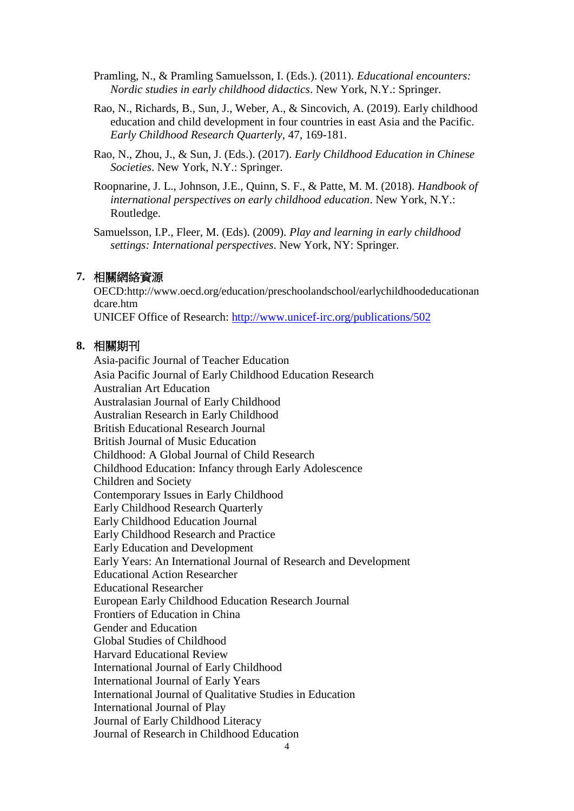- Pramling, N., & Pramling Samuelsson, I. (Eds.). (2011). *Educational encounters: Nordic studies in early childhood didactics*. New York, N.Y.: Springer.
- Rao, N., Richards, B., Sun, J., Weber, A., & Sincovich, A. (2019). Early childhood education and child development in four countries in east Asia and the Pacific. *Early Childhood Research Quarterly*, 47, 169-181.
- Rao, N., Zhou, J., & Sun, J. (Eds.). (2017). *Early Childhood Education in Chinese Societies*. New York, N.Y.: Springer.
- Roopnarine, J. L., Johnson, J.E., Quinn, S. F., & Patte, M. M. (2018). *Handbook of international perspectives on early childhood education*. New York, N.Y.: Routledge.

Samuelsson, I.P., Fleer, M. (Eds). (2009). *Play and learning in early childhood settings: International perspectives*. New York, NY: Springer.

#### **7.** 相關網絡資源

OECD:http://www.oecd.org/education/preschoolandschool/earlychildhoodeducationan dcare.htm

UNICEF Office of Research: http://www.unicef‐irc.org/publications/502

## **8.** 相關期刊

Asia‐pacific Journal of Teacher Education Asia Pacific Journal of Early Childhood Education Research Australian Art Education Australasian Journal of Early Childhood Australian Research in Early Childhood British Educational Research Journal British Journal of Music Education Childhood: A Global Journal of Child Research Childhood Education: Infancy through Early Adolescence Children and Society Contemporary Issues in Early Childhood Early Childhood Research Quarterly Early Childhood Education Journal Early Childhood Research and Practice Early Education and Development Early Years: An International Journal of Research and Development Educational Action Researcher Educational Researcher European Early Childhood Education Research Journal Frontiers of Education in China Gender and Education Global Studies of Childhood Harvard Educational Review International Journal of Early Childhood International Journal of Early Years International Journal of Qualitative Studies in Education International Journal of Play Journal of Early Childhood Literacy Journal of Research in Childhood Education